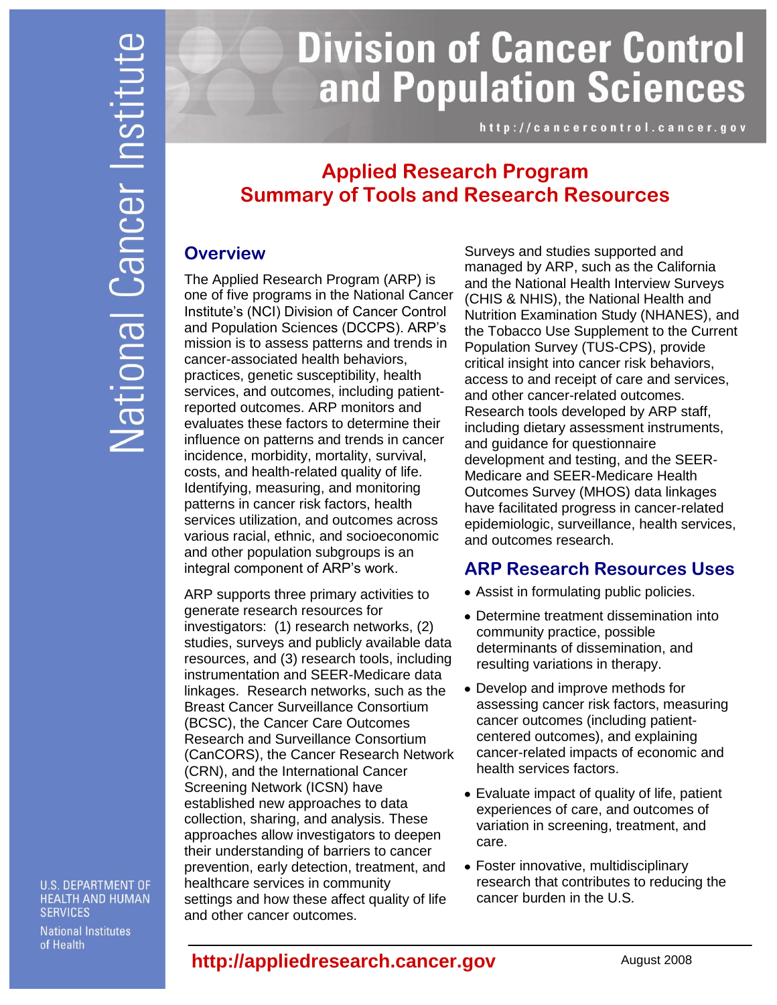# **Division of Cancer Control** and Population Sciences

http://cancercontrol.cancer.gov

## **Applied Research Program Summary of Tools and Research Resources**

## **Overview**

The Applied Research Program (ARP) is one of five programs in the National Cancer Institute's (NCI) Division of Cancer Control and Population Sciences (DCCPS). ARP's mission is to assess patterns and trends in cancer-associated health behaviors, practices, genetic susceptibility, health services, and outcomes, including patientreported outcomes. ARP monitors and evaluates these factors to determine their influence on patterns and trends in cancer incidence, morbidity, mortality, survival, costs, and health-related quality of life. Identifying, measuring, and monitoring patterns in cancer risk factors, health services utilization, and outcomes across various racial, ethnic, and socioeconomic and other population subgroups is an integral component of ARP's work.

ARP supports three primary activities to generate research resources for investigators: (1) research networks, (2) studies, surveys and publicly available data resources, and (3) research tools, including instrumentation and SEER-Medicare data linkages. Research networks, such as the Breast Cancer Surveillance Consortium (BCSC), the Cancer Care Outcomes Research and Surveillance Consortium (CanCORS), the Cancer Research Network (CRN), and the International Cancer Screening Network (ICSN) have established new approaches to data collection, sharing, and analysis. These approaches allow investigators to deepen their understanding of barriers to cancer prevention, early detection, treatment, and healthcare services in community settings and how these affect quality of life and other cancer outcomes.

Surveys and studies supported and managed by ARP, such as the California and the National Health Interview Surveys (CHIS & NHIS), the National Health and Nutrition Examination Study (NHANES), and the Tobacco Use Supplement to the Current Population Survey (TUS-CPS), provide critical insight into cancer risk behaviors, access to and receipt of care and services, and other cancer-related outcomes. Research tools developed by ARP staff, including dietary assessment instruments, and guidance for questionnaire development and testing, and the SEER-Medicare and SEER-Medicare Health Outcomes Survey (MHOS) data linkages have facilitated progress in cancer-related epidemiologic, surveillance, health services, and outcomes research.

## **ARP Research Resources Uses**

- Assist in formulating public policies.
- Determine treatment dissemination into community practice, possible determinants of dissemination, and resulting variations in therapy.
- Develop and improve methods for assessing cancer risk factors, measuring cancer outcomes (including patientcentered outcomes), and explaining cancer-related impacts of economic and health services factors.
- Evaluate impact of quality of life, patient experiences of care, and outcomes of variation in screening, treatment, and care.
- Foster innovative, multidisciplinary research that contributes to reducing the cancer burden in the U.S.

**U.S. DEPARTMENT OF HEALTH AND HUMAN SERVICES** 

**National Institutes** of Health